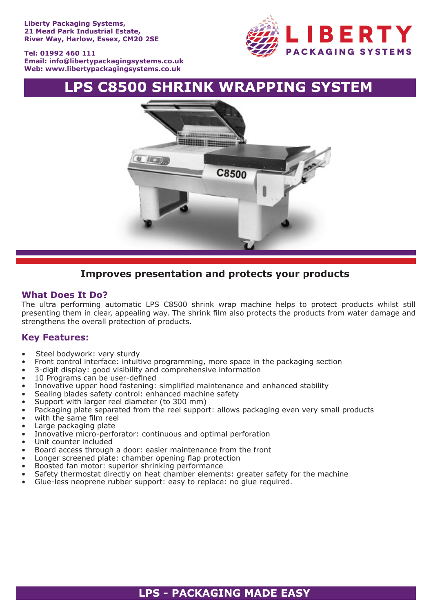**Tel: 01992 460 111 Email: info@libertypackagingsystems.co.uk Web: www.libertypackagingsystems.co.uk**



# **LPS C8500 SHRINK WRAPPING SYSTEM**



## **Improves presentation and protects your products**

### **What Does It Do?**

The ultra performing automatic LPS C8500 shrink wrap machine helps to protect products whilst still presenting them in clear, appealing way. The shrink film also protects the products from water damage and strengthens the overall protection of products.

## **Key Features:**

- Steel bodywork: very sturdy
- Front control interface: intuitive programming, more space in the packaging section
- 3-digit display: good visibility and comprehensive information
- 10 Programs can be user-defined
- Innovative upper hood fastening: simplified maintenance and enhanced stability
- Sealing blades safety control: enhanced machine safety
- Support with larger reel diameter (to 300 mm)
- Packaging plate separated from the reel support: allows packaging even very small products
- with the same film reel
- Large packaging plate
- Innovative micro-perforator: continuous and optimal perforation
- Unit counter included
- Board access through a door: easier maintenance from the front
- Longer screened plate: chamber opening flap protection
- Boosted fan motor: superior shrinking performance
- Safety thermostat directly on heat chamber elements: greater safety for the machine
- Glue-less neoprene rubber support: easy to replace: no glue required.

## **LPS - PACKAGING MADE EASY**